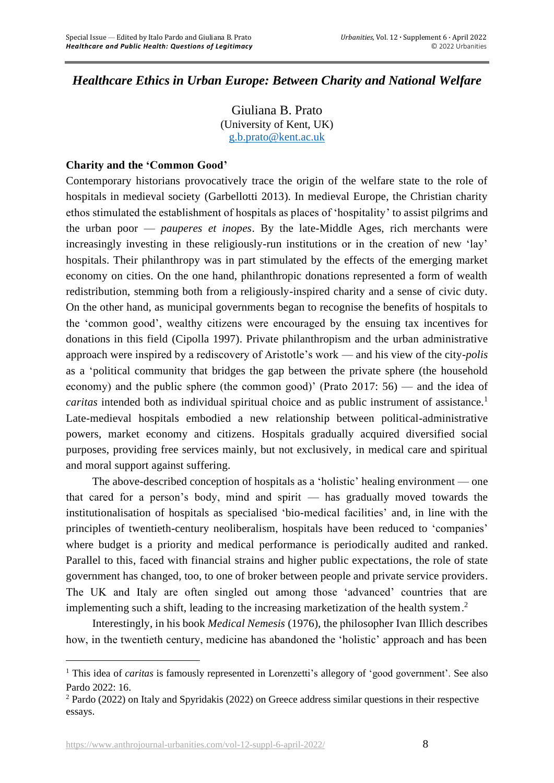# *Healthcare Ethics in Urban Europe: Between Charity and National Welfare*

Giuliana B. Prato (University of Kent, UK) [g.b.prato@kent.ac.uk](mailto:g.b.prato@kent.ac.uk)

# **Charity and the 'Common Good'**

Contemporary historians provocatively trace the origin of the welfare state to the role of hospitals in medieval society (Garbellotti 2013). In medieval Europe, the Christian charity ethos stimulated the establishment of hospitals as places of 'hospitality' to assist pilgrims and the urban poor — *pauperes et inopes*. By the late-Middle Ages, rich merchants were increasingly investing in these religiously-run institutions or in the creation of new 'lay' hospitals. Their philanthropy was in part stimulated by the effects of the emerging market economy on cities. On the one hand, philanthropic donations represented a form of wealth redistribution, stemming both from a religiously-inspired charity and a sense of civic duty. On the other hand, as municipal governments began to recognise the benefits of hospitals to the 'common good', wealthy citizens were encouraged by the ensuing tax incentives for donations in this field (Cipolla 1997). Private philanthropism and the urban administrative approach were inspired by a rediscovery of Aristotle's work — and his view of the city-*polis* as a 'political community that bridges the gap between the private sphere (the household economy) and the public sphere (the common good)' (Prato 2017: 56) — and the idea of *caritas* intended both as individual spiritual choice and as public instrument of assistance.<sup>1</sup> Late-medieval hospitals embodied a new relationship between political-administrative powers, market economy and citizens. Hospitals gradually acquired diversified social purposes, providing free services mainly, but not exclusively, in medical care and spiritual and moral support against suffering.

The above-described conception of hospitals as a 'holistic' healing environment — one that cared for a person's body, mind and spirit — has gradually moved towards the institutionalisation of hospitals as specialised 'bio-medical facilities' and, in line with the principles of twentieth-century neoliberalism, hospitals have been reduced to 'companies' where budget is a priority and medical performance is periodically audited and ranked. Parallel to this, faced with financial strains and higher public expectations, the role of state government has changed, too, to one of broker between people and private service providers. The UK and Italy are often singled out among those 'advanced' countries that are implementing such a shift, leading to the increasing marketization of the health system. 2

Interestingly, in his book *Medical Nemesis* (1976), the philosopher Ivan Illich describes how, in the twentieth century, medicine has abandoned the 'holistic' approach and has been

<sup>&</sup>lt;sup>1</sup> This idea of *caritas* is famously represented in Lorenzetti's allegory of 'good government'. See also Pardo 2022: 16.

<sup>2</sup> Pardo (2022) on Italy and Spyridakis (2022) on Greece address similar questions in their respective essays.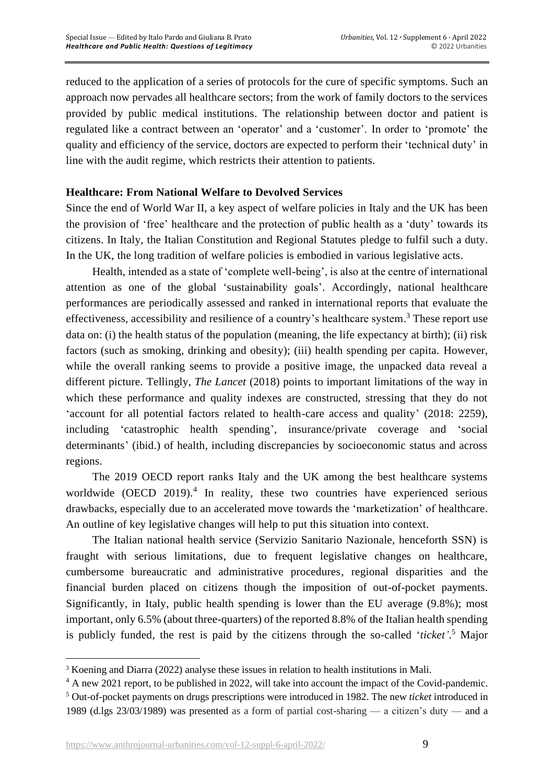reduced to the application of a series of protocols for the cure of specific symptoms. Such an approach now pervades all healthcare sectors; from the work of family doctors to the services provided by public medical institutions. The relationship between doctor and patient is regulated like a contract between an 'operator' and a 'customer'. In order to 'promote' the quality and efficiency of the service, doctors are expected to perform their 'technical duty' in line with the audit regime, which restricts their attention to patients.

## **Healthcare: From National Welfare to Devolved Services**

Since the end of World War II, a key aspect of welfare policies in Italy and the UK has been the provision of 'free' healthcare and the protection of public health as a 'duty' towards its citizens. In Italy, the Italian Constitution and Regional Statutes pledge to fulfil such a duty. In the UK, the long tradition of welfare policies is embodied in various legislative acts.

Health, intended as a state of 'complete well-being', is also at the centre of international attention as one of the global 'sustainability goals'. Accordingly, national healthcare performances are periodically assessed and ranked in international reports that evaluate the effectiveness, accessibility and resilience of a country's healthcare system.<sup>3</sup> These report use data on: (i) the health status of the population (meaning, the life expectancy at birth); (ii) risk factors (such as smoking, drinking and obesity); (iii) health spending per capita. However, while the overall ranking seems to provide a positive image, the unpacked data reveal a different picture. Tellingly, *The Lancet* (2018) points to important limitations of the way in which these performance and quality indexes are constructed, stressing that they do not 'account for all potential factors related to health-care access and quality' (2018: 2259), including 'catastrophic health spending', insurance/private coverage and 'social determinants' (ibid.) of health, including discrepancies by socioeconomic status and across regions.

The 2019 OECD report ranks Italy and the UK among the best healthcare systems worldwide (OECD  $2019$ ).<sup>4</sup> In reality, these two countries have experienced serious drawbacks, especially due to an accelerated move towards the 'marketization' of healthcare. An outline of key legislative changes will help to put this situation into context.

The Italian national health service (Servizio Sanitario Nazionale, henceforth SSN) is fraught with serious limitations, due to frequent legislative changes on healthcare, cumbersome bureaucratic and administrative procedures, regional disparities and the financial burden placed on citizens though the imposition of out-of-pocket payments. Significantly, in Italy, public health spending is lower than the EU average (9.8%); most important, only 6.5% (about three-quarters) of the reported 8.8% of the Italian health spending is publicly funded, the rest is paid by the citizens through the so-called '*ticket'*. <sup>5</sup> Major

<sup>&</sup>lt;sup>3</sup> Koening and Diarra (2022) analyse these issues in relation to health institutions in Mali.

<sup>4</sup> A new 2021 report, to be published in 2022, will take into account the impact of the Covid-pandemic.

<sup>5</sup> Out-of-pocket payments on drugs prescriptions were introduced in 1982. The new *ticket* introduced in 1989 (d.lgs 23/03/1989) was presented as a form of partial cost-sharing — a citizen's duty — and a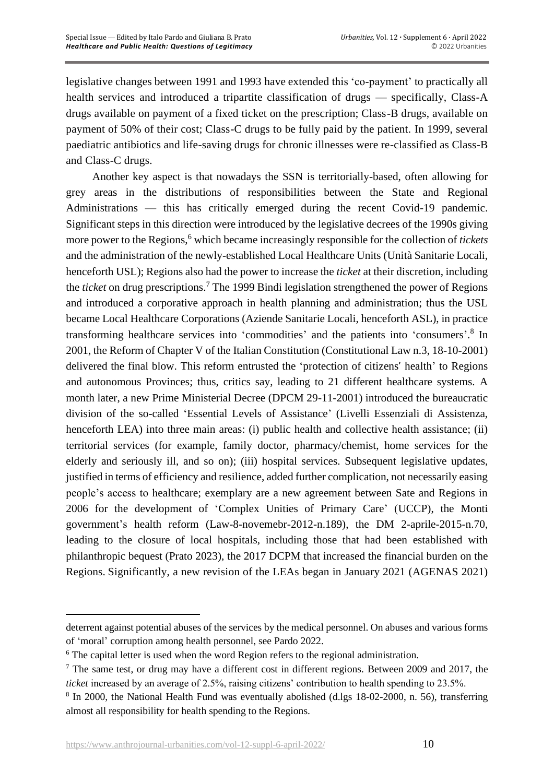legislative changes between 1991 and 1993 have extended this 'co-payment' to practically all health services and introduced a tripartite classification of drugs — specifically, Class-A drugs available on payment of a fixed ticket on the prescription; Class-B drugs, available on payment of 50% of their cost; Class-C drugs to be fully paid by the patient. In 1999, several paediatric antibiotics and life-saving drugs for chronic illnesses were re-classified as Class-B and Class-C drugs.

Another key aspect is that nowadays the SSN is territorially-based, often allowing for grey areas in the distributions of responsibilities between the State and Regional Administrations — this has critically emerged during the recent Covid-19 pandemic. Significant steps in this direction were introduced by the legislative decrees of the 1990s giving more power to the Regions,<sup>6</sup> which became increasingly responsible for the collection of *tickets* and the administration of the newly-established Local Healthcare Units (Unità Sanitarie Locali, henceforth USL); Regions also had the power to increase the *ticket* at their discretion, including the *ticket* on drug prescriptions. <sup>7</sup> The 1999 Bindi legislation strengthened the power of Regions and introduced a corporative approach in health planning and administration; thus the USL became Local Healthcare Corporations (Aziende Sanitarie Locali, henceforth ASL), in practice transforming healthcare services into 'commodities' and the patients into 'consumers'. 8 In 2001, the Reform of Chapter V of the Italian Constitution (Constitutional Law n.3, 18-10-2001) delivered the final blow. This reform entrusted the 'protection of citizens' health' to Regions and autonomous Provinces; thus, critics say, leading to 21 different healthcare systems. A month later, a new Prime Ministerial Decree (DPCM 29-11-2001) introduced the bureaucratic division of the so-called 'Essential Levels of Assistance' (Livelli Essenziali di Assistenza, henceforth LEA) into three main areas: (i) public health and collective health assistance; (ii) territorial services (for example, family doctor, pharmacy/chemist, home services for the elderly and seriously ill, and so on); (iii) hospital services. Subsequent legislative updates, justified in terms of efficiency and resilience, added further complication, not necessarily easing people's access to healthcare; exemplary are a new agreement between Sate and Regions in 2006 for the development of 'Complex Unities of Primary Care' (UCCP), the Monti government's health reform (Law-8-novemebr-2012-n.189), the DM 2-aprile-2015-n.70, leading to the closure of local hospitals, including those that had been established with philanthropic bequest (Prato 2023), the 2017 DCPM that increased the financial burden on the Regions. Significantly, a new revision of the LEAs began in January 2021 (AGENAS 2021)

deterrent against potential abuses of the services by the medical personnel. On abuses and various forms of 'moral' corruption among health personnel, see Pardo 2022.

<sup>&</sup>lt;sup>6</sup> The capital letter is used when the word Region refers to the regional administration.

 $<sup>7</sup>$  The same test, or drug may have a different cost in different regions. Between 2009 and 2017, the</sup> *ticket* increased by an average of 2.5%, raising citizens' contribution to health spending to 23.5%.

<sup>&</sup>lt;sup>8</sup> In 2000, the National Health Fund was eventually abolished (d.lgs 18-02-2000, n. 56), transferring almost all responsibility for health spending to the Regions.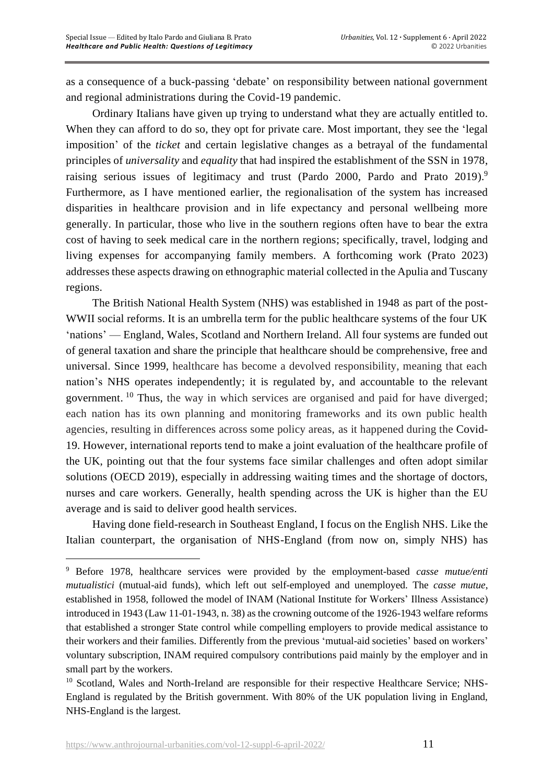as a consequence of a buck-passing 'debate' on responsibility between national government and regional administrations during the Covid-19 pandemic.

Ordinary Italians have given up trying to understand what they are actually entitled to. When they can afford to do so, they opt for private care. Most important, they see the 'legal imposition' of the *ticket* and certain legislative changes as a betrayal of the fundamental principles of *universality* and *equality* that had inspired the establishment of the SSN in 1978, raising serious issues of legitimacy and trust (Pardo 2000, Pardo and Prato 2019).<sup>9</sup> Furthermore, as I have mentioned earlier, the regionalisation of the system has increased disparities in healthcare provision and in life expectancy and personal wellbeing more generally. In particular, those who live in the southern regions often have to bear the extra cost of having to seek medical care in the northern regions; specifically, travel, lodging and living expenses for accompanying family members. A forthcoming work (Prato 2023) addresses these aspects drawing on ethnographic material collected in the Apulia and Tuscany regions.

The British National Health System (NHS) was established in 1948 as part of the post-WWII social reforms. It is an umbrella term for the public healthcare systems of the four UK 'nations' — England, Wales, Scotland and Northern Ireland. All four systems are funded out of general taxation and share the principle that healthcare should be comprehensive, free and universal. Since 1999, healthcare has become a devolved responsibility, meaning that each nation's NHS operates independently; it is regulated by, and accountable to the relevant government.<sup>10</sup> Thus, the way in which services are organised and paid for have diverged; each nation has its own planning and monitoring frameworks and its own public health agencies, resulting in differences across some policy areas, as it happened during the Covid-19. However, international reports tend to make a joint evaluation of the healthcare profile of the UK, pointing out that the four systems face similar challenges and often adopt similar solutions (OECD 2019), especially in addressing waiting times and the shortage of doctors, nurses and care workers. Generally, health spending across the UK is higher than the EU average and is said to deliver good health services.

Having done field-research in Southeast England, I focus on the English NHS. Like the Italian counterpart, the organisation of NHS-England (from now on, simply NHS) has

<sup>9</sup> Before 1978, healthcare services were provided by the employment-based *casse mutue/enti mutualistici* (mutual-aid funds), which left out self-employed and unemployed. The *casse mutue*, established in 1958, followed the model of INAM (National Institute for Workers' Illness Assistance) introduced in 1943 (Law 11-01-1943, n. 38) as the crowning outcome of the 1926-1943 welfare reforms that established a stronger State control while compelling employers to provide medical assistance to their workers and their families. Differently from the previous 'mutual-aid societies' based on workers' voluntary subscription, INAM required compulsory contributions paid mainly by the employer and in small part by the workers.

<sup>&</sup>lt;sup>10</sup> Scotland, Wales and North-Ireland are responsible for their respective Healthcare Service; NHS-England is regulated by the British government. With 80% of the UK population living in England, NHS-England is the largest.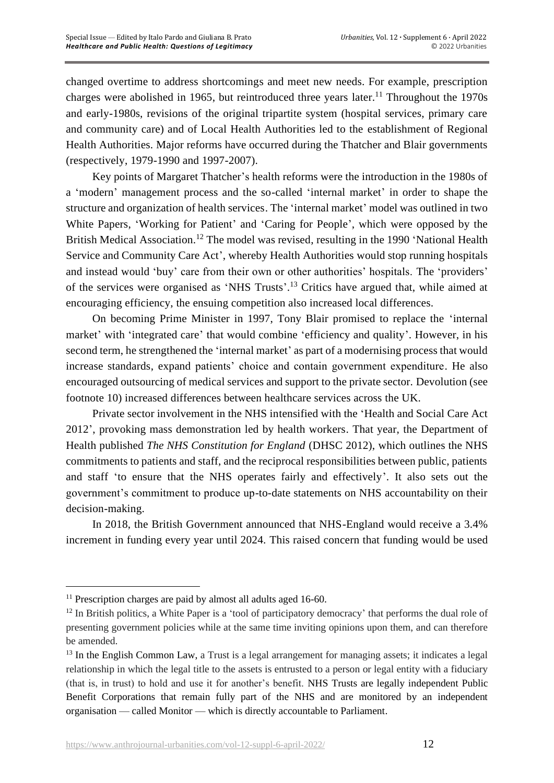changed overtime to address shortcomings and meet new needs. For example, prescription charges were abolished in 1965, but reintroduced three years later.<sup>11</sup> Throughout the 1970s and early-1980s, revisions of the original tripartite system (hospital services, primary care and community care) and of Local Health Authorities led to the establishment of Regional Health Authorities. Major reforms have occurred during the Thatcher and Blair governments (respectively, 1979-1990 and 1997-2007).

Key points of Margaret Thatcher's health reforms were the introduction in the 1980s of a 'modern' management process and the so-called 'internal market' in order to shape the structure and organization of health services. The 'internal market' model was outlined in two White Papers, 'Working for Patient' and 'Caring for People', which were opposed by the British Medical Association.<sup>12</sup> The model was revised, resulting in the 1990 'National Health Service and Community Care Act', whereby Health Authorities would stop running hospitals and instead would 'buy' care from their own or other authorities' hospitals. The 'providers' of the services were organised as 'NHS Trusts'.<sup>13</sup> Critics have argued that, while aimed at encouraging efficiency, the ensuing competition also increased local differences.

On becoming Prime Minister in 1997, Tony Blair promised to replace the 'internal market' with 'integrated care' that would combine 'efficiency and quality'. However, in his second term, he strengthened the 'internal market' as part of a modernising process that would increase standards, expand patients' choice and contain government expenditure. He also encouraged outsourcing of medical services and support to the private sector. Devolution (see footnote 10) increased differences between healthcare services across the UK.

Private sector involvement in the NHS intensified with the 'Health and Social Care Act 2012', provoking mass demonstration led by health workers. That year, the Department of Health published *The NHS Constitution for England* (DHSC 2012), which outlines the NHS commitments to patients and staff, and the reciprocal responsibilities between public, patients and staff 'to ensure that the NHS operates fairly and effectively'. It also sets out the government's commitment to produce up-to-date statements on NHS accountability on their decision-making.

In 2018, the British Government announced that NHS-England would receive a 3.4% increment in funding every year until 2024. This raised concern that funding would be used

 $11$  Prescription charges are paid by almost all adults aged 16-60.

<sup>&</sup>lt;sup>12</sup> In British politics, a White Paper is a 'tool of participatory democracy' that performs the dual role of presenting government policies while at the same time inviting opinions upon them, and can therefore be amended.

<sup>&</sup>lt;sup>13</sup> In the English Common Law, a Trust is a legal arrangement for managing assets; it indicates a legal relationship in which the legal title to the assets is entrusted to a person or legal entity with a fiduciary (that is, in trust) to hold and use it for another's benefit. NHS Trusts are legally independent Public Benefit Corporations that remain fully part of the NHS and are monitored by an independent organisation — called Monitor — which is directly accountable to Parliament.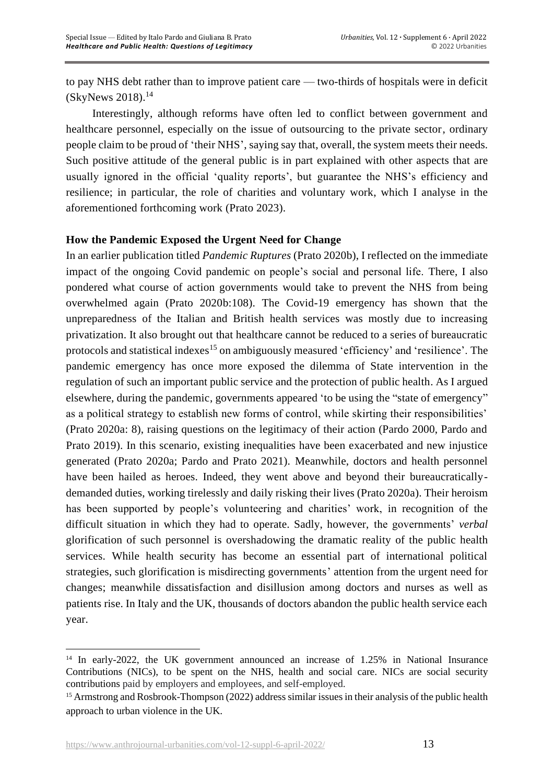to pay NHS debt rather than to improve patient care — two-thirds of hospitals were in deficit (SkyNews 2018). 14

Interestingly, although reforms have often led to conflict between government and healthcare personnel, especially on the issue of outsourcing to the private sector, ordinary people claim to be proud of 'their NHS', saying say that, overall, the system meets their needs. Such positive attitude of the general public is in part explained with other aspects that are usually ignored in the official 'quality reports', but guarantee the NHS's efficiency and resilience; in particular, the role of charities and voluntary work, which I analyse in the aforementioned forthcoming work (Prato 2023).

# **How the Pandemic Exposed the Urgent Need for Change**

In an earlier publication titled *Pandemic Ruptures* (Prato 2020b), I reflected on the immediate impact of the ongoing Covid pandemic on people's social and personal life. There, I also pondered what course of action governments would take to prevent the NHS from being overwhelmed again (Prato 2020b:108). The Covid-19 emergency has shown that the unpreparedness of the Italian and British health services was mostly due to increasing privatization. It also brought out that healthcare cannot be reduced to a series of bureaucratic protocols and statistical indexes<sup>15</sup> on ambiguously measured 'efficiency' and 'resilience'. The pandemic emergency has once more exposed the dilemma of State intervention in the regulation of such an important public service and the protection of public health. As I argued elsewhere, during the pandemic, governments appeared 'to be using the "state of emergency" as a political strategy to establish new forms of control, while skirting their responsibilities' (Prato 2020a: 8), raising questions on the legitimacy of their action (Pardo 2000, Pardo and Prato 2019). In this scenario, existing inequalities have been exacerbated and new injustice generated (Prato 2020a; Pardo and Prato 2021). Meanwhile, doctors and health personnel have been hailed as heroes. Indeed, they went above and beyond their bureaucraticallydemanded duties, working tirelessly and daily risking their lives (Prato 2020a). Their heroism has been supported by people's volunteering and charities' work, in recognition of the difficult situation in which they had to operate. Sadly, however, the governments' *verbal* glorification of such personnel is overshadowing the dramatic reality of the public health services. While health security has become an essential part of international political strategies, such glorification is misdirecting governments' attention from the urgent need for changes; meanwhile dissatisfaction and disillusion among doctors and nurses as well as patients rise. In Italy and the UK, thousands of doctors abandon the public health service each year.

<sup>&</sup>lt;sup>14</sup> In early-2022, the UK government announced an increase of 1.25% in National Insurance Contributions (NICs), to be spent on the NHS, health and social care. NICs are social security contributions paid by employers and employees, and self-employed.

<sup>15</sup> Armstrong and Rosbrook-Thompson (2022) address similar issues in their analysis of the public health approach to urban violence in the UK.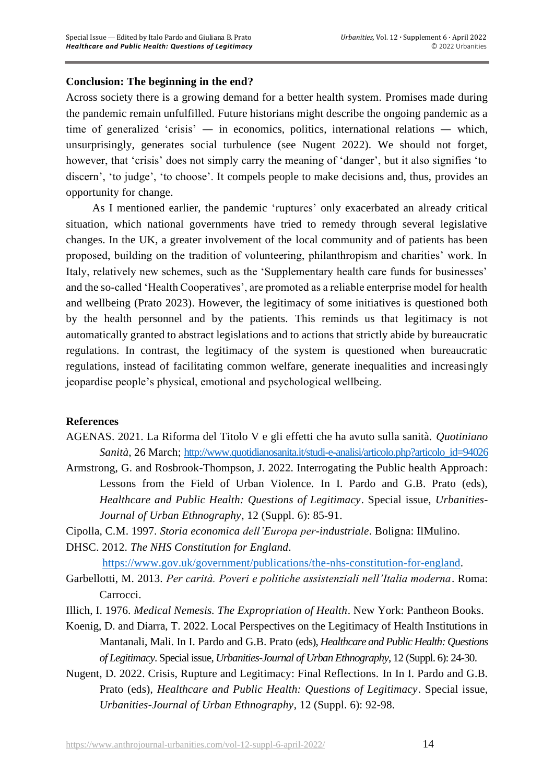# **Conclusion: The beginning in the end?**

Across society there is a growing demand for a better health system. Promises made during the pandemic remain unfulfilled. Future historians might describe the ongoing pandemic as a time of generalized 'crisis' — in economics, politics, international relations — which, unsurprisingly, generates social turbulence (see Nugent 2022). We should not forget, however, that 'crisis' does not simply carry the meaning of 'danger', but it also signifies 'to discern', 'to judge', 'to choose'. It compels people to make decisions and, thus, provides an opportunity for change.

As I mentioned earlier, the pandemic 'ruptures' only exacerbated an already critical situation, which national governments have tried to remedy through several legislative changes. In the UK, a greater involvement of the local community and of patients has been proposed, building on the tradition of volunteering, philanthropism and charities' work. In Italy, relatively new schemes, such as the 'Supplementary health care funds for businesses' and the so-called 'Health Cooperatives', are promoted as a reliable enterprise model for health and wellbeing (Prato 2023). However, the legitimacy of some initiatives is questioned both by the health personnel and by the patients. This reminds us that legitimacy is not automatically granted to abstract legislations and to actions that strictly abide by bureaucratic regulations. In contrast, the legitimacy of the system is questioned when bureaucratic regulations, instead of facilitating common welfare, generate inequalities and increasingly jeopardise people's physical, emotional and psychological wellbeing.

# **References**

AGENAS. 2021. La Riforma del Titolo V e gli effetti che ha avuto sulla sanità. *Quotiniano Sanità*, 26 March; [http://www.quotidianosanita.it/studi-e-analisi/articolo.php?articolo\\_id=94026](http://www.quotidianosanita.it/studi-e-analisi/articolo.php?articolo_id=94026)

Armstrong, G. and Rosbrook-Thompson, J. 2022. Interrogating the Public health Approach: Lessons from the Field of Urban Violence. In I. Pardo and G.B. Prato (eds), *Healthcare and Public Health: Questions of Legitimacy*. Special issue, *Urbanities-Journal of Urban Ethnography*, 12 (Suppl. 6): 85-91.

Cipolla, C.M. 1997. *Storia economica dell'Europa per-industriale*. Boligna: IlMulino. DHSC. 2012. *The NHS Constitution for England*.

[https://www.gov.uk/government/publications/the-nhs-constitution-for-england.](https://www.gov.uk/government/publications/the-nhs-constitution-for-england)

Garbellotti, M. 2013. *Per carità. Poveri e politiche assistenziali nell'Italia moderna*. Roma: Carrocci.

Illich, I. 1976. *Medical Nemesis. The Expropriation of Health*. New York: Pantheon Books.

Koenig, D. and Diarra, T. 2022. Local Perspectives on the Legitimacy of Health Institutions in Mantanali, Mali. In I. Pardo and G.B. Prato (eds), *Healthcare and Public Health: Questions of Legitimacy*. Special issue, *Urbanities-Journal of Urban Ethnography*, 12 (Suppl. 6): 24-30.

Nugent, D. 2022. Crisis, Rupture and Legitimacy: Final Reflections. In In I. Pardo and G.B. Prato (eds), *Healthcare and Public Health: Questions of Legitimacy*. Special issue, *Urbanities-Journal of Urban Ethnography*, 12 (Suppl. 6): 92-98.